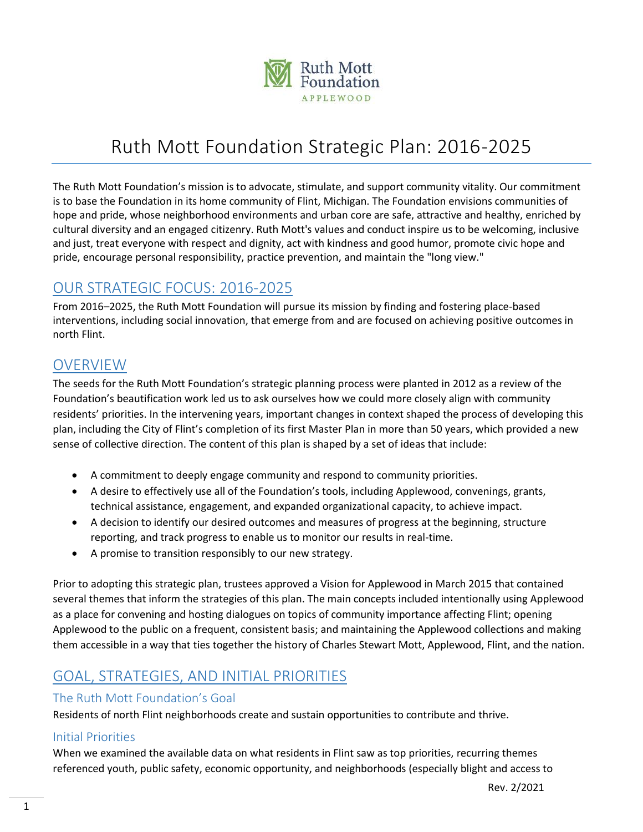

# Ruth Mott Foundation Strategic Plan: 2016-2025

The Ruth Mott Foundation's mission is to advocate, stimulate, and support community vitality. Our commitment is to base the Foundation in its home community of Flint, Michigan. The Foundation envisions communities of hope and pride, whose neighborhood environments and urban core are safe, attractive and healthy, enriched by cultural diversity and an engaged citizenry. Ruth Mott's values and conduct inspire us to be welcoming, inclusive and just, treat everyone with respect and dignity, act with kindness and good humor, promote civic hope and pride, encourage personal responsibility, practice prevention, and maintain the "long view."

# OUR STRATEGIC FOCUS: 2016-2025

From 2016–2025, the Ruth Mott Foundation will pursue its mission by finding and fostering place-based interventions, including social innovation, that emerge from and are focused on achieving positive outcomes in north Flint.

### OVERVIEW

The seeds for the Ruth Mott Foundation's strategic planning process were planted in 2012 as a review of the Foundation's beautification work led us to ask ourselves how we could more closely align with community residents' priorities. In the intervening years, important changes in context shaped the process of developing this plan, including the City of Flint's completion of its first Master Plan in more than 50 years, which provided a new sense of collective direction. The content of this plan is shaped by a set of ideas that include:

- A commitment to deeply engage community and respond to community priorities.
- A desire to effectively use all of the Foundation's tools, including Applewood, convenings, grants, technical assistance, engagement, and expanded organizational capacity, to achieve impact.
- A decision to identify our desired outcomes and measures of progress at the beginning, structure reporting, and track progress to enable us to monitor our results in real-time.
- A promise to transition responsibly to our new strategy.

Prior to adopting this strategic plan, trustees approved a Vision for Applewood in March 2015 that contained several themes that inform the strategies of this plan. The main concepts included intentionally using Applewood as a place for convening and hosting dialogues on topics of community importance affecting Flint; opening Applewood to the public on a frequent, consistent basis; and maintaining the Applewood collections and making them accessible in a way that ties together the history of Charles Stewart Mott, Applewood, Flint, and the nation.

## GOAL, STRATEGIES, AND INITIAL PRIORITIES

### The Ruth Mott Foundation's Goal

Residents of north Flint neighborhoods create and sustain opportunities to contribute and thrive.

### Initial Priorities

When we examined the available data on what residents in Flint saw as top priorities, recurring themes referenced youth, public safety, economic opportunity, and neighborhoods (especially blight and access to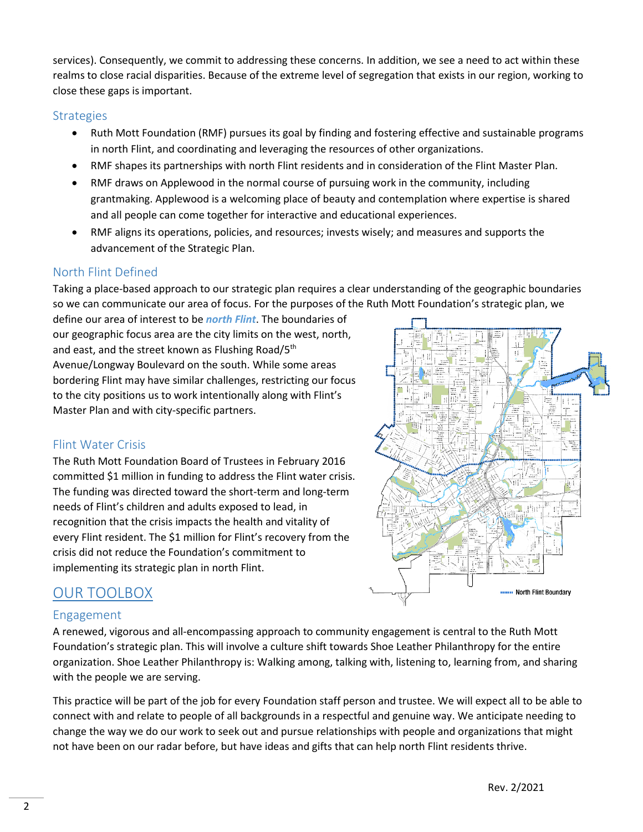services). Consequently, we commit to addressing these concerns. In addition, we see a need to act within these realms to close racial disparities. Because of the extreme level of segregation that exists in our region, working to close these gaps is important.

#### **Strategies**

- Ruth Mott Foundation (RMF) pursues its goal by finding and fostering effective and sustainable programs in north Flint, and coordinating and leveraging the resources of other organizations.
- RMF shapes its partnerships with north Flint residents and in consideration of the Flint Master Plan.
- RMF draws on Applewood in the normal course of pursuing work in the community, including grantmaking. Applewood is a welcoming place of beauty and contemplation where expertise is shared and all people can come together for interactive and educational experiences.
- RMF aligns its operations, policies, and resources; invests wisely; and measures and supports the advancement of the Strategic Plan.

### North Flint Defined

Taking a place-based approach to our strategic plan requires a clear understanding of the geographic boundaries so we can communicate our area of focus. For the purposes of the Ruth Mott Foundation's strategic plan, we

define our area of interest to be *north Flint*. The boundaries of our geographic focus area are the city limits on the west, north, and east, and the street known as Flushing Road/5<sup>th</sup> Avenue/Longway Boulevard on the south. While some areas bordering Flint may have similar challenges, restricting our focus to the city positions us to work intentionally along with Flint's Master Plan and with city-specific partners.

### Flint Water Crisis

The Ruth Mott Foundation Board of Trustees in February 2016 committed \$1 million in funding to address the Flint water crisis. The funding was directed toward the short-term and long-term needs of Flint's children and adults exposed to lead, in recognition that the crisis impacts the health and vitality of every Flint resident. The \$1 million for Flint's recovery from the crisis did not reduce the Foundation's commitment to implementing its strategic plan in north Flint.



# OUR TOOLBOX

### Engagement

A renewed, vigorous and all-encompassing approach to community engagement is central to the Ruth Mott Foundation's strategic plan. This will involve a culture shift towards Shoe Leather Philanthropy for the entire organization. Shoe Leather Philanthropy is: Walking among, talking with, listening to, learning from, and sharing with the people we are serving.

This practice will be part of the job for every Foundation staff person and trustee. We will expect all to be able to connect with and relate to people of all backgrounds in a respectful and genuine way. We anticipate needing to change the way we do our work to seek out and pursue relationships with people and organizations that might not have been on our radar before, but have ideas and gifts that can help north Flint residents thrive.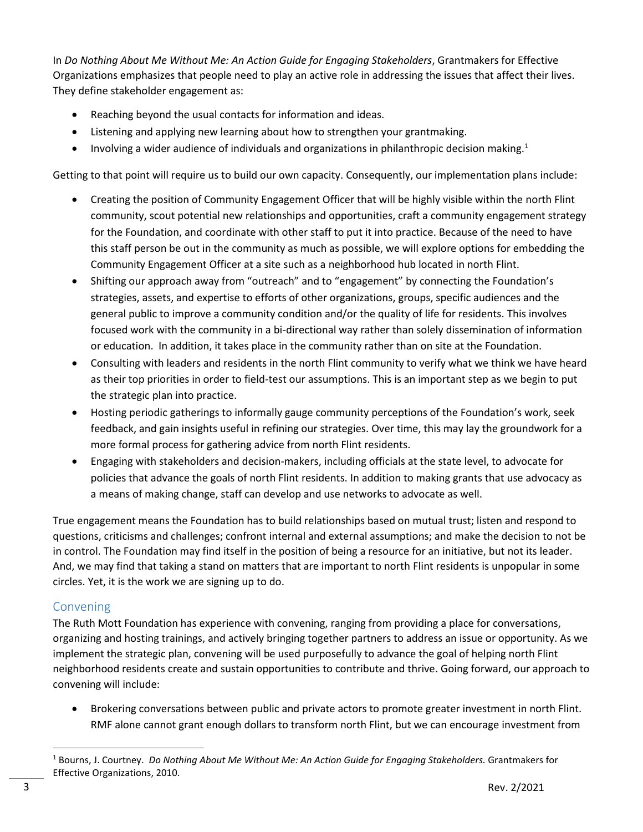In *Do Nothing About Me Without Me: An Action Guide for Engaging Stakeholders*, Grantmakers for Effective Organizations emphasizes that people need to play an active role in addressing the issues that affect their lives. They define stakeholder engagement as:

- Reaching beyond the usual contacts for information and ideas.
- Listening and applying new learning about how to strengthen your grantmaking.
- Involving a wider audience of individuals and organizations in philanthropic decision making.<sup>1</sup>

Getting to that point will require us to build our own capacity. Consequently, our implementation plans include:

- Creating the position of Community Engagement Officer that will be highly visible within the north Flint community, scout potential new relationships and opportunities, craft a community engagement strategy for the Foundation, and coordinate with other staff to put it into practice. Because of the need to have this staff person be out in the community as much as possible, we will explore options for embedding the Community Engagement Officer at a site such as a neighborhood hub located in north Flint.
- Shifting our approach away from "outreach" and to "engagement" by connecting the Foundation's strategies, assets, and expertise to efforts of other organizations, groups, specific audiences and the general public to improve a community condition and/or the quality of life for residents. This involves focused work with the community in a bi-directional way rather than solely dissemination of information or education. In addition, it takes place in the community rather than on site at the Foundation.
- Consulting with leaders and residents in the north Flint community to verify what we think we have heard as their top priorities in order to field-test our assumptions. This is an important step as we begin to put the strategic plan into practice.
- Hosting periodic gatherings to informally gauge community perceptions of the Foundation's work, seek feedback, and gain insights useful in refining our strategies. Over time, this may lay the groundwork for a more formal process for gathering advice from north Flint residents.
- Engaging with stakeholders and decision-makers, including officials at the state level, to advocate for policies that advance the goals of north Flint residents. In addition to making grants that use advocacy as a means of making change, staff can develop and use networks to advocate as well.

True engagement means the Foundation has to build relationships based on mutual trust; listen and respond to questions, criticisms and challenges; confront internal and external assumptions; and make the decision to not be in control. The Foundation may find itself in the position of being a resource for an initiative, but not its leader. And, we may find that taking a stand on matters that are important to north Flint residents is unpopular in some circles. Yet, it is the work we are signing up to do.

### Convening

The Ruth Mott Foundation has experience with convening, ranging from providing a place for conversations, organizing and hosting trainings, and actively bringing together partners to address an issue or opportunity. As we implement the strategic plan, convening will be used purposefully to advance the goal of helping north Flint neighborhood residents create and sustain opportunities to contribute and thrive. Going forward, our approach to convening will include:

• Brokering conversations between public and private actors to promote greater investment in north Flint. RMF alone cannot grant enough dollars to transform north Flint, but we can encourage investment from

<sup>1</sup> Bourns, J. Courtney. *Do Nothing About Me Without Me: An Action Guide for Engaging Stakeholders.* Grantmakers for Effective Organizations, 2010.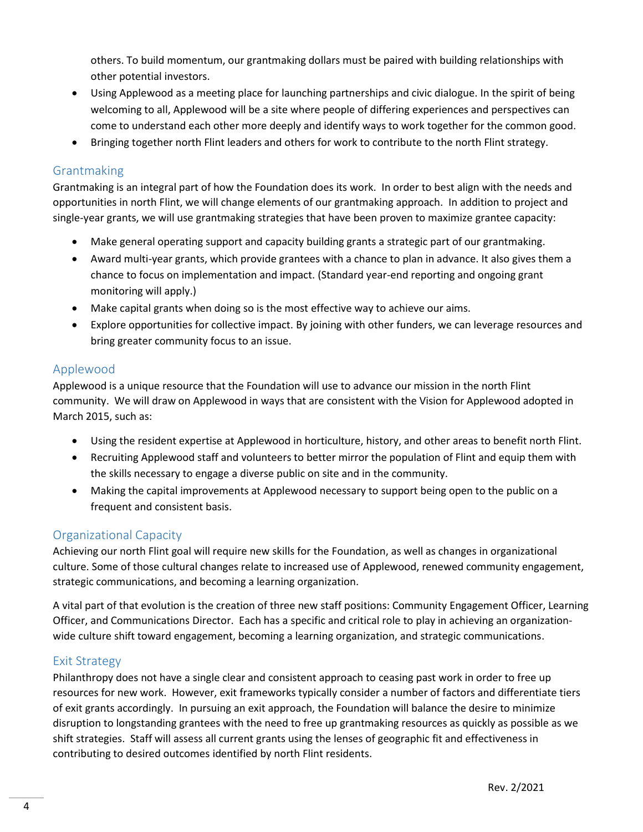others. To build momentum, our grantmaking dollars must be paired with building relationships with other potential investors.

- Using Applewood as a meeting place for launching partnerships and civic dialogue. In the spirit of being welcoming to all, Applewood will be a site where people of differing experiences and perspectives can come to understand each other more deeply and identify ways to work together for the common good.
- Bringing together north Flint leaders and others for work to contribute to the north Flint strategy.

### Grantmaking

Grantmaking is an integral part of how the Foundation does its work. In order to best align with the needs and opportunities in north Flint, we will change elements of our grantmaking approach. In addition to project and single-year grants, we will use grantmaking strategies that have been proven to maximize grantee capacity:

- Make general operating support and capacity building grants a strategic part of our grantmaking.
- Award multi-year grants, which provide grantees with a chance to plan in advance. It also gives them a chance to focus on implementation and impact. (Standard year-end reporting and ongoing grant monitoring will apply.)
- Make capital grants when doing so is the most effective way to achieve our aims.
- Explore opportunities for collective impact. By joining with other funders, we can leverage resources and bring greater community focus to an issue.

### Applewood

Applewood is a unique resource that the Foundation will use to advance our mission in the north Flint community. We will draw on Applewood in ways that are consistent with the Vision for Applewood adopted in March 2015, such as:

- Using the resident expertise at Applewood in horticulture, history, and other areas to benefit north Flint.
- Recruiting Applewood staff and volunteers to better mirror the population of Flint and equip them with the skills necessary to engage a diverse public on site and in the community.
- Making the capital improvements at Applewood necessary to support being open to the public on a frequent and consistent basis.

### Organizational Capacity

Achieving our north Flint goal will require new skills for the Foundation, as well as changes in organizational culture. Some of those cultural changes relate to increased use of Applewood, renewed community engagement, strategic communications, and becoming a learning organization.

A vital part of that evolution is the creation of three new staff positions: Community Engagement Officer, Learning Officer, and Communications Director. Each has a specific and critical role to play in achieving an organizationwide culture shift toward engagement, becoming a learning organization, and strategic communications.

### Exit Strategy

Philanthropy does not have a single clear and consistent approach to ceasing past work in order to free up resources for new work. However, exit frameworks typically consider a number of factors and differentiate tiers of exit grants accordingly. In pursuing an exit approach, the Foundation will balance the desire to minimize disruption to longstanding grantees with the need to free up grantmaking resources as quickly as possible as we shift strategies. Staff will assess all current grants using the lenses of geographic fit and effectiveness in contributing to desired outcomes identified by north Flint residents.